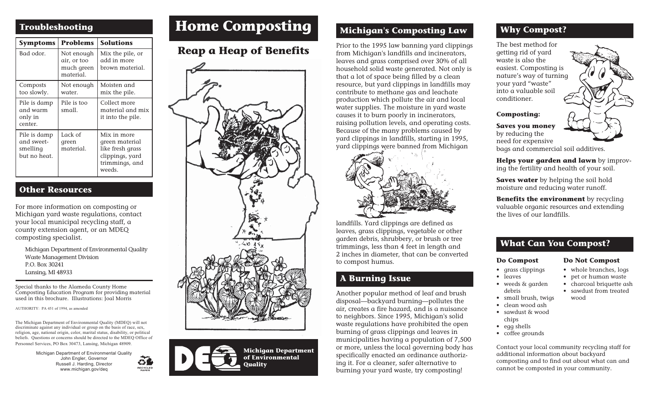| <b>Symptoms</b>                                        | <b>Problems</b>                                      | <b>Solutions</b>                                                                                 |
|--------------------------------------------------------|------------------------------------------------------|--------------------------------------------------------------------------------------------------|
| Bad odor.                                              | Not enough<br>air, or too<br>much green<br>material. | Mix the pile, or<br>add in more<br>brown material.                                               |
| Composts<br>too slowly.                                | Not enough<br>water.                                 | Moisten and<br>mix the pile.                                                                     |
| Pile is damp<br>and warm<br>only in<br>center.         | Pile is too<br>small.                                | Collect more<br>material and mix<br>it into the pile.                                            |
| Pile is damp<br>and sweet-<br>smelling<br>but no heat. | Lack of<br>green<br>material.                        | Mix in more<br>green material<br>like fresh grass<br>clippings, yard<br>trimmings, and<br>weeds. |

#### **Other Resources**

For more information on composting or Michigan yard waste regulations, contact your local municipal recycling staff, a county extension agent, or an MDEQ composting specialist.

Michigan Department of Environmental Quality Waste Management Division P.O. Box 30241 Lansing, MI 48933

Special thanks to the Alameda County Home Composting Education Program for providing material used in this brochure. Illustrations: Joal Morris

AUTHORITY: PA 451 of 1994, as amended

The Michigan Department of Environmental Quality (MDEQ) will not discriminate against any individual or group on the basis of race, sex, religion, age, national origin, color, marital status, disability, or political beliefs. Questions or concerns should be directed to the MDEQ Office of Personnel Services, PO Box 30473, Lansing, Michigan 48909.

> Michigan Department of Environmental Quality John Engler, Governor 61 Russell J. Harding, Director **RECYCLED** www.michigan.gov/deq

## **Troubleshooting Troubleshooting**

### **Reap a Heap of Benefits**





#### **Michigan's Composting Law**

Prior to the 1995 law banning yard clippings from Michigan's landfills and incinerators, leaves and grass comprised over 30% of all household solid waste generated. Not only is that a lot of space being filled by a clean resource, but yard clippings in landfills may contribute to methane gas and leachate production which pollute the air and local water supplies. The moisture in yard waste causes it to burn poorly in incinerators, raising pollution levels, and operating costs. Because of the many problems caused by yard clippings in landfills, starting in 1995, yard clippings were banned from Michigan



landfills. Yard clippings are defined as leaves, grass clippings, vegetable or other garden debris, shrubbery, or brush or tree trimmings, less than 4 feet in length and 2 inches in diameter, that can be converted to compost humus.

#### **A Burning Issue**

Another popular method of leaf and brush disposal—backyard burning—pollutes the air, creates a fire hazard, and is a nuisance to neighbors. Since 1995, Michigan's solid waste regulations have prohibited the open burning of grass clippings and leaves in municipalities having a population of 7,500 or more, unless the local governing body has specifically enacted an ordinance authorizing it. For a cleaner, safer alternative to burning your yard waste, try composting!

#### **Why Compost?**

The best method for getting rid of yard waste is also the easiest. Composting is nature's way of turning your yard "waste" into a valuable soil conditioner.



**Saves you money** by reducing the need for expensive bags and commercial soil additives.

**Helps your garden and lawn** by improving the fertility and health of your soil.

**Saves water** by helping the soil hold moisture and reducing water runoff.

**Benefits the environment** by recycling valuable organic resources and extending the lives of our landfills.

#### **What Can You Compost?**

#### **Do Compost**

#### **Do Not Compost**

• whole branches, logs

- grass clippings • leaves
	- pet or human waste
- weeds & garden • charcoal briquette ash • sawdust from treated wood
- debris • small brush, twigs
- clean wood ash
- sawdust & wood chips
- egg shells
- coffee grounds

Contact your local community recycling staff for additional information about backyard composting and to find out about what can and cannot be composted in your community.